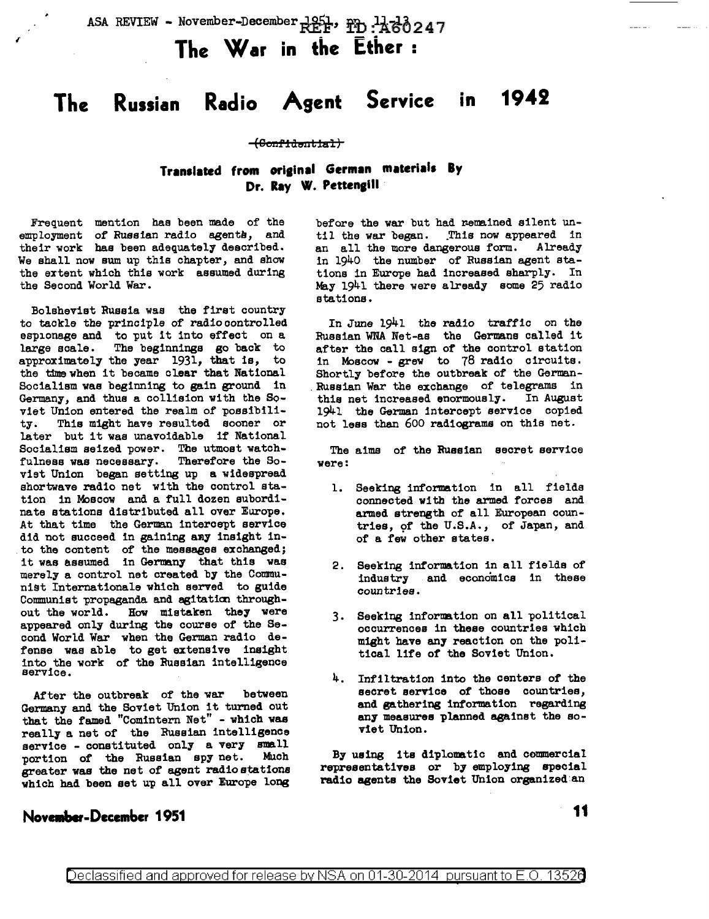ASA REVIEW - November-December  $REF$ ,  $PD : A B 3 24 7$ 

**The War in the Ether** :

# **The Russian Radio Agent Service in 1942**

#### (Confidential)

## Translated from original German materials By Dr. Ray W. Pettengill

Frequent mention has been made of the employment of Russian radio agents, and their work has been adequately described. We shall now sum up this chapter, and show the extent which this work assumed during the Second World War.

Bolshevist Russia was the first country to tackle the principle of radiocontrolled espionage and to put it into effect on a large scale. The beginnings go back to approximately the year 1931, that is, to the time when it became clear that National Socialism was beginning to gain ground in Germany, and thus a collision with the Soviet Union entered the realm of possibility. This might have resulted sooner or later but it was unavoidable if National Socialism seized power. The utmost watchfulness was necessary. Therefore the Soviet Union began setting up a widespread shortwave radio net with the control station in Moscow and a full dozen subordinate stations distributed all over Europe. At that time the German intercept service did not succeed in gaining any insight into the content of the messages exchanged; it was assumed in Germany that this was merely a control net created by the Communist Internationale which served to guide Communist propaganda and agitation throughout the world. How mistaken they were appeared only during the course of the Second World War when the German radio defense was able to get extensive insight into the work of the Russian intelligence service.

After the outbreak of the war between Germany and the Soviet Union it turned out that the famed "Comintern Net" - which was really a net of the Russian intelligence service - constituted only a very small<br>portion of the Russian spy net. Much portion of the Russian spy net. greater was the net of agent radio stations which had been set up all over Europe long

#### November-December 1951

before the war but had remained silent until the war began. This now appeared in<br>an all the more dangerous form. Already an all the more dangerous form. in 1940 the number of Russian agent stations in Europe had increased sharply. In May 1941 there were already some 25 radio stations.

In June 1941 the radio traffic on the Russian WNA Net-as the Germane called it after the call sign of the control station in Moscow - grew to 78 radio circuits. Shortly before the outbreak of the German- . Russian War the exchange of telegrams in this net increased enormously. In August 1941 the German intercept service copied not less than 600 radiasrams on this net.

The aims of the Russian secret service were:

- l. Seeking information in all fields connected with the armed forces and armed strength of all European countries, of the U.S.A., of Japan, and of a few other states.
- 2. Seeking information in all fields of industry and economics in these countries.
- 3. Seeking information on all political occurrences in these countries which might have any reaction on the political life of the Soviet Union.
- 4. Infiltration into the centers of the secret service of those countries, and gathering information regarding any measures planned against the soviet Union.

By using its diplonatic and commercial representatives or by employing special radio agents the Soviet Union organized:an

**11**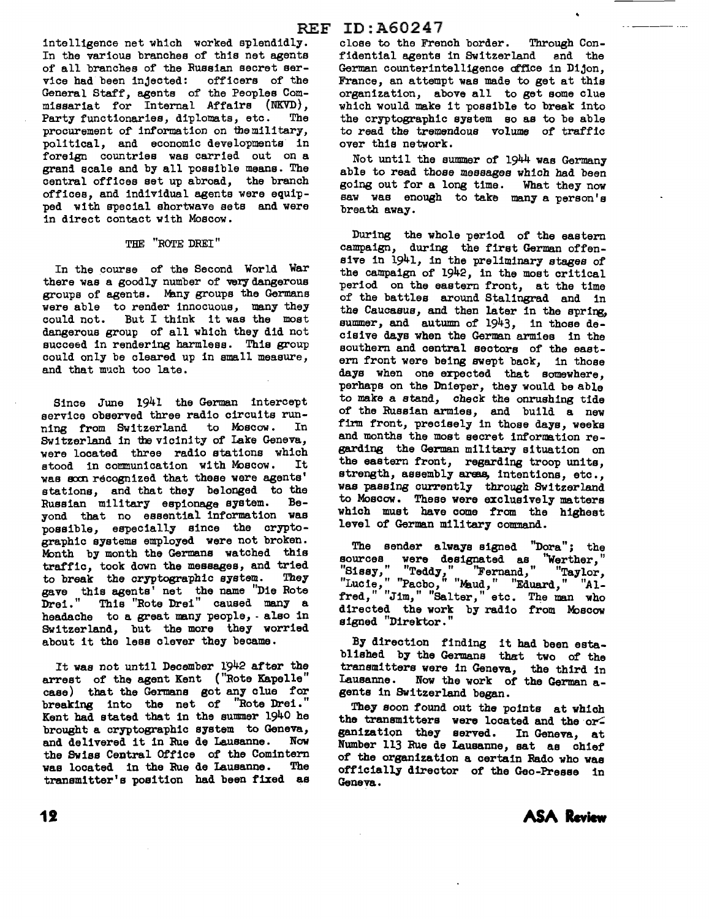intelligence net which worked splendidly. In the various branches of this net agents of all branches of the Russian secret ser-<br>vice had been injected: officers of the vice had been injected: General Staff, agents of the Peoples Commissariat for Internal Affairs (NKVD}, Party functionaries, diplomats, etc. The procurement of information on the military, political, and economic developments in foreign countries was carried out on a grani scale and by all possible means. The central offices set up abroad, the branch offices, and individual agents were equipped with special shortwave sets and were in direct contact with Moscow.

#### THE "ROTE DREI"

In the course of the Second World War there was a goodly number of very dangerous groups of agents. Many groups the Germans were able to render innocuous, many they<br>could not. But I think it was the most But I think it was the most dangerous group of all which they did not succeed in rendering harmless. This group could only be cleared up in small measure, and that much too late.

Since June 1941 the German intercept service observed three radio circuits run-<br>ning from Switzerland to Moscow. In ning from Switzerland to Moscow. Switzerland in the vicinity of Lake Geneva, were located three radio stations which stood in communication with Moscow. It was soon recognized that these were agents' stations, and that they belonged to the Russian military espionage system. Beyond that no essential information was possible, especially since the cryptographic systems employed were not broken. Month by month the Germans watched this traffic, took down the messages, and tried<br>to break the cryptographic system. They to break the cryptographic system. gave this agents' net the name "Die Rote Drei." This "Rote Drei" caused many a headache to a great many people, - also in Switzerland, but the more they worried about it the less clever they became.

It was not until December 1942 after the arrest of the agent Kent ("Rote Kapelle" case) that the Germana got any clue for breaking into the net of "Rote Drei." Kent had stated that in the summer 1940 he brought a cryptographic system to Geneva, and delivered it in Rue de Lausanne. Now the Swiss Central Office of the Comintern was located in the Rue de Lausanne. transmitter's position had been fixed as

close to the French border. Through Confidential agents in Switzerland and the German counterintelligence office in Dijon, France, an attempt was made to get at this organization, above all to get some clue which would make it possible to break into the cryptographic system so as to be able to read the tremendous volume of traffic over this network.

Not until the summer of 1944 was Germany able to read those messages which had been going out for a long time.. What they now saw was enough to take many a person's breath away.

During the whole period of the eastern campaign, during the first German offensive in 1941, in the preliminary stages of the campaign of 1942, in the moat critical period on the eastern front, at the time of the battles around Stalingrad and in the Caucasus, and then later in the spring, summer, and autumn of 1943, in those decisive days when the German armies in the southern and central sectors of the eastern front were being swept back, in those days when one expected that somewhere, perhaps on the Dnieper, they would be able to make a stand, check the onrushing tide of the Russian armies, and build a new firm front, precisely in those days, weeks and months the most secret information regarding the German military situation on the eastern front, regarding troop units, strength, assembly areas, intentions, etc., was passing currently through Switzerland to Moscow. These were exclusively matters which must have come from the highest level of German military command.

The sender always signed "Dora"; the sources were designated as "Werther," "Sissy," "Teddy," ''Fernand," "Taylor, "Lucie," "Pacbo," "Maud," "Eduard," "Alfred," "Jim," "Salter," etc. The man who directed the work by radio from Moscow signed "Direktor."

By direction finding it had been established by the Germans that two of the transmitters were in Geneva, the third in Lausanne. Now the work of the German agents in Switzerland began.

They soon found out the points at which the transmitters were located and the organization they served. In Geneva, at Number 113 Rue de Lausanne, sat as chief of the organization a certain Rado who was officially director of the Geo-Presse in Geneva.



12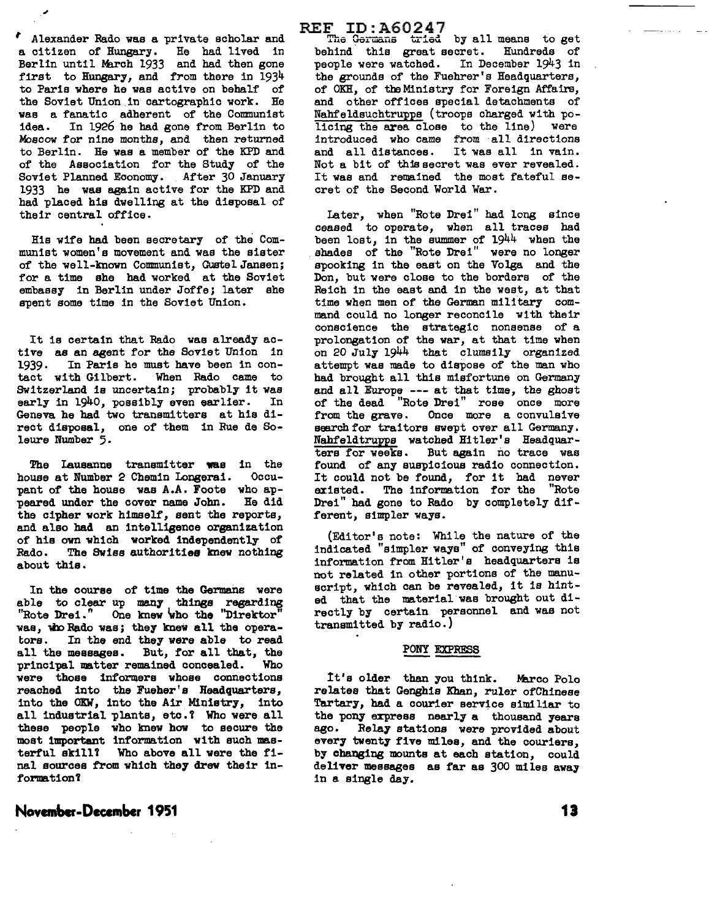*<sup>1</sup>*Alexander Rado was a private scholar and a citizen of Hungary. He had lived in Berlin until March 1933 and had then gone first to Hungary, and from there in 1934 to Paris where he was active on behalf of the Soviet Union in cartographic work. He was a fanatic adherent of the Communist idea. In 1926 he had gone from Berlin to Moscow for nine months, and then returned to Berlin. He was a member of the KPD and of the Association for the Study of the Soviet Planned Economy. After 30 January 1933 he was again active for the KPD and had placed his dwelling at the disposal of their central office.

His wife had been secretary of the Communist women's movement and was the sister of the well-known Communist, Gustel Janeen; for a time she had worked at the Soviet embassy in Berlin under Joffe; later she spent some time in the Soviet Union.

It is certain that Rado was already active as an agent for the Soviet Union in 1939. In Paris he must have been in con-<br>tact with Gilbert. When Rado came to When Rado came to Switzerland is uncertain; probably it was<br>early in 1940, possibly even earlier. In early in 1940, possibly even earlier. Geneva he had two transmitters at hie direct disposal, one of them in Rue de Soleure Number 5.

The Lausanne transmitter was in the<br>buse at Number 2 Chemin Longerai. Occuhouse at Number 2 Chemin Longerai. pant of the house was A.A. Foote who appeared under the cover name John. He did the cipher work himself, sent the reports, and also had an intelligence organization of his own which worked independently of Rado. The Swiss authorities knew nothing about this.

In the course of time the Germans were able to clear up many things regarding "Rote Drei." One knew 'who the "Direktor" was, who Rado was; they knew all the operators. In the end they were able to read all the messages. But, for all that, the principal matter remained concealed. Who principal matter remained concealed. were those informers whose connections reached into the Fueher's Headquarters, into the OKW, into the Air Ministry, into all industrial plants, etc.? Who were all these people who knew how to secure the most important information with such masterful skill? Who above all were the final sources from which they drew their informa tion'l

#### **Nov .... -Decembcr <sup>1951</sup>**

#### REF ID:A60247

The Germans tried by all means to get behind this great secret. Hundreds of people were watched. In December 1943 in the grounds of the Fuehrer's Headquarters, of OKH, of the Ministry for Foreign Affairs, and other offices special detachments of Nahfeldsuchtruyps (troops charged with policing the area close to the line) were introduced who came from all directions<br>and all distances. It was all in vain. and all distances. Not a bit of this secret was ever revealed. It was and remained the moat fateful secret of the Second World War.

Later, when "Rote Drei" had long since ceased to operate, when all traces bad been lost, in the summer of 1944 when the shades of the "Rote Drei" were no longer spooking in the east on the Volga and the Don, but were close to the borders of the Reich in the east and in the west, at that time when men of the German military command could no longer reconcile with their conscience the strategic nonsense of a prolongation of the war, at that time when on 20 July 1944 that clumsily organized attempt was made to dispose of the man who had brought all this misfortune on Germany and all Europe --- at that time, the ghost of the dead "Rote Drei" rose once more from the grave. Once more a convulsive search for traitors swept over all Germany. Nahfeldtrupps watched Hitler's Headquarters for weeks. But again no trace was found of any auspicious radio connection. It could not be found, for it had never existed. The information for the "Rote Drei" had gone to Rado by completely different, simpler ways.

(Editor's note: While the nature of the indicated "simpler ways" of conveying this information from Hitler's headquarters is not related in other portions of the manuscript, which can be revealed, it is hinted that the material was brought out directly by certain personnel and was not transmitted by radio.)

#### PONY EXPRESS

It's older than you think. Marco Polo relates that Genghis Khan, ruler ofChinese Tartary, had a courier service aimiliar to the pony express nearly a thousand years ago. Relay stations were provided about every twenty five miles, and the couriers, by changing mounts at each station, could deliver messages as far as 300 miles away in a single day.

**13**